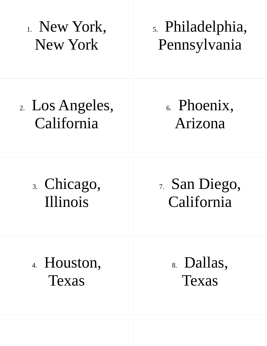1. New York, New York 2. Los Angeles, California 3. Chicago, Illinois 4. Houston, Texas 7. San Diego, California 8. Dallas, Texas 5. Philadelphia, Pennsylvania 6. Phoenix, Arizona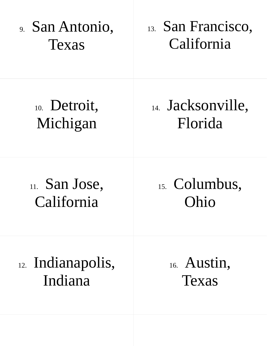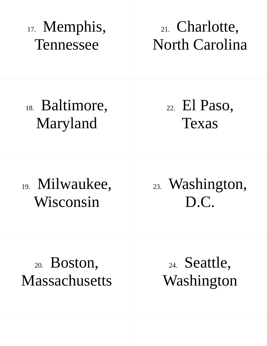17. Memphis, Tennessee 18. Baltimore, Maryland 19. Milwaukee, Wisconsin 20. Boston, **Massachusetts** 21. Charlotte, North Carolina 23. Washington, D.C. 24. Seattle, Washington 22. El Paso, Texas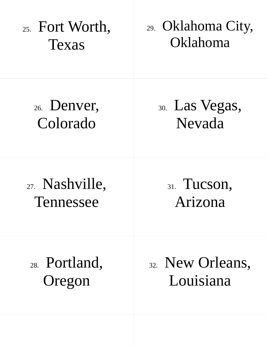25. Fort Worth, Texas 26. Denver, Colorado 27. Nashville, Tennessee 28. Portland, Oregon 29. Oklahoma City, Oklahoma 31. Tucson, Arizona 32. New Orleans, Louisiana 30. Las Vegas, Nevada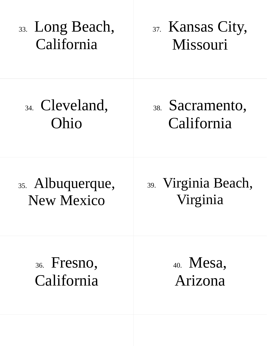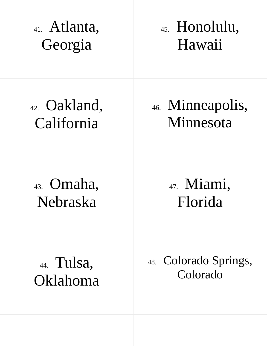41. Atlanta, Georgia 42. Oakland, California 43. Omaha, Nebraska 44. Tulsa, Oklahoma 45. Honolulu, Hawaii 47. Miami, Florida 48. Colorado Springs, Colorado 46. Minneapolis, Minnesota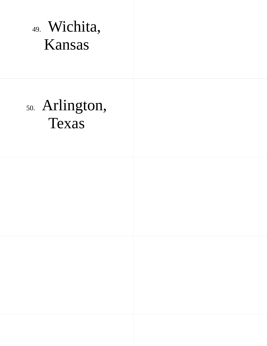49. Wichita, Kansas

# 50. Arlington, Texas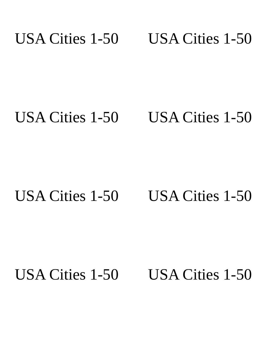#### USA Cities 1-50 USA Cities 1-50

### USA Cities 1-50 USA Cities 1-50

### USA Cities 1-50 USA Cities 1-50

## USA Cities 1-50 USA Cities 1-50